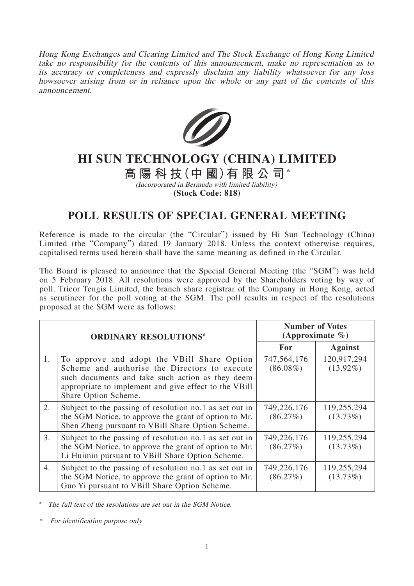Hong Kong Exchanges and Clearing Limited and The Stock Exchange of Hong Kong Limited take no responsibility for the contents of this announcement, make no representation as to its accuracy or completeness and expressly disclaim any liability whatsoever for any loss howsoever arising from or in reliance upon the whole or any part of the contents of this announcement.



## **HI SUN TECHNOLOGY (CHINA) LIMITED**

## **高陽科技(中 國)有限公司\***

(Incorporated in Bermuda with limited liability) **(Stock Code: 818)**

## **POLL RESULTS OF SPECIAL GENERAL MEETING**

Reference is made to the circular (the "Circular") issued by Hi Sun Technology (China) Limited (the "Company") dated 19 January 2018. Unless the context otherwise requires, capitalised terms used herein shall have the same meaning as defined in the Circular.

The Board is pleased to announce that the Special General Meeting (the "SGM") was held on 5 February 2018. All resolutions were approved by the Shareholders voting by way of poll. Tricor Tengis Limited, the branch share registrar of the Company in Hong Kong, acted as scrutineer for the poll voting at the SGM. The poll results in respect of the resolutions proposed at the SGM were as follows:

| <b>ORDINARY RESOLUTIONS#</b> |                                                                                                                                                                                                                                   | <b>Number of Votes</b><br>(Approximate $\%$ ) |                            |
|------------------------------|-----------------------------------------------------------------------------------------------------------------------------------------------------------------------------------------------------------------------------------|-----------------------------------------------|----------------------------|
|                              |                                                                                                                                                                                                                                   | <b>For</b>                                    | <b>Against</b>             |
| 1.                           | To approve and adopt the VBill Share Option<br>Scheme and authorise the Directors to execute<br>such documents and take such action as they deem<br>appropriate to implement and give effect to the VBill<br>Share Option Scheme. | 747,564,176<br>$(86.08\%)$                    | 120,917,294<br>$(13.92\%)$ |
| 2.                           | Subject to the passing of resolution no.1 as set out in<br>the SGM Notice, to approve the grant of option to Mr.<br>Shen Zheng pursuant to VBill Share Option Scheme.                                                             | 749,226,176<br>(86.27%)                       | 119,255,294<br>$(13.73\%)$ |
| 3.                           | Subject to the passing of resolution no.1 as set out in<br>the SGM Notice, to approve the grant of option to Mr.<br>Li Huimin pursuant to VBill Share Option Scheme.                                                              | 749,226,176<br>(86.27%)                       | 119,255,294<br>$(13.73\%)$ |
| 4.                           | Subject to the passing of resolution no.1 as set out in<br>the SGM Notice, to approve the grant of option to Mr.<br>Guo Yi pursuant to VBill Share Option Scheme.                                                                 | 749,226,176<br>(86.27%)                       | 119,255,294<br>$(13.73\%)$ |

The full text of the resolutions are set out in the SGM Notice.

\* For identification purpose only